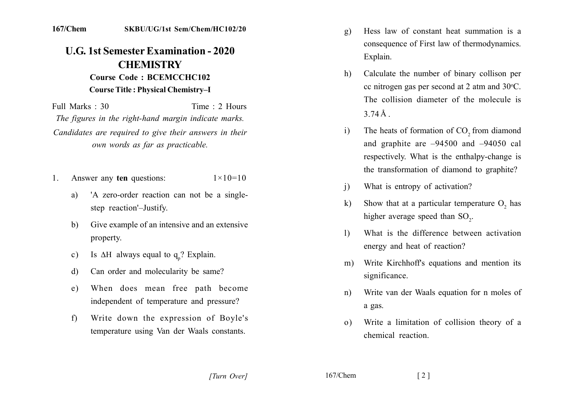## **U.G. 1st Semester Examination - 2020 CHEMISTRY Course Code: BCEMCCHC102**

## **Course Title: Physical Chemistry-I**

Full Marks  $\cdot$  30 Time  $\cdot$  2 Hours The figures in the right-hand margin indicate marks. Candidates are required to give their answers in their own words as far as practicable.

- Answer any ten questions:  $1 \times 10 = 10$  $\mathbf{1}$ .
	- 'A zero-order reaction can not be a singlea) step reaction'-Justify.
	- Give example of an intensive and an extensive  $b)$ property.
	- Is  $\Delta H$  always equal to  $q_{n}$ ? Explain.  $c)$
	- Can order and molecularity be same? d)
	- When does mean free path become  $e)$ independent of temperature and pressure?
	- Write down the expression of Boyle's  $f$ temperature using Van der Waals constants.
- Hess law of constant heat summation is a  $\mathbf{g}$ ) consequence of First law of thermodynamics. Explain.
- Calculate the number of binary collison per  $h$ ) cc nitrogen gas per second at 2 atm and 30°C. The collision diameter of the molecule is  $374\text{\AA}$
- The heats of formation of CO<sub>2</sub> from diamond  $\mathbf{i}$ and graphite are  $-94500$  and  $-94050$  cal respectively. What is the enthalpy-change is the transformation of diamond to graphite?
- What is entropy of activation?  $\overline{1}$
- Show that at a particular temperature  $O_2$  has  $\bf k$ higher average speed than SO<sub>2</sub>.
- What is the difference between activation  $\mathbf{D}$ energy and heat of reaction?
- Write Kirchhoff's equations and mention its  $m)$ significance.
- Write van der Waals equation for n moles of  $n)$ a gas.
- Write a limitation of collision theory of a  $\Omega$ chemical reaction.

 $167/C$ hem